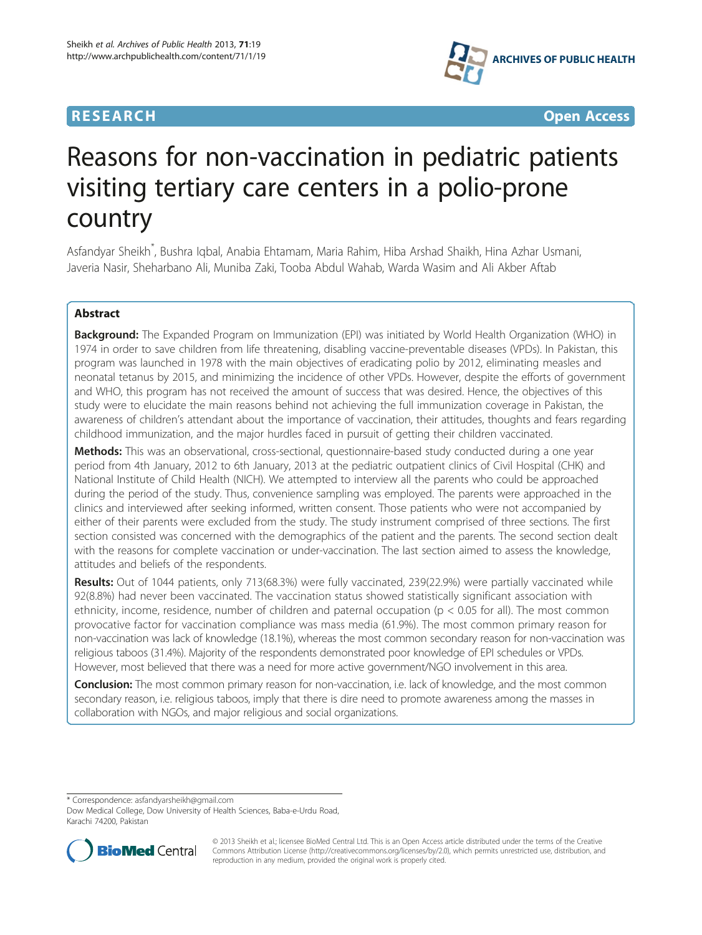# **RESEARCH CHE CHE Open Access**



# Reasons for non-vaccination in pediatric patients visiting tertiary care centers in a polio-prone country

Asfandyar Sheikh\* , Bushra Iqbal, Anabia Ehtamam, Maria Rahim, Hiba Arshad Shaikh, Hina Azhar Usmani, Javeria Nasir, Sheharbano Ali, Muniba Zaki, Tooba Abdul Wahab, Warda Wasim and Ali Akber Aftab

# Abstract

Background: The Expanded Program on Immunization (EPI) was initiated by World Health Organization (WHO) in 1974 in order to save children from life threatening, disabling vaccine-preventable diseases (VPDs). In Pakistan, this program was launched in 1978 with the main objectives of eradicating polio by 2012, eliminating measles and neonatal tetanus by 2015, and minimizing the incidence of other VPDs. However, despite the efforts of government and WHO, this program has not received the amount of success that was desired. Hence, the objectives of this study were to elucidate the main reasons behind not achieving the full immunization coverage in Pakistan, the awareness of children's attendant about the importance of vaccination, their attitudes, thoughts and fears regarding childhood immunization, and the major hurdles faced in pursuit of getting their children vaccinated.

Methods: This was an observational, cross-sectional, questionnaire-based study conducted during a one year period from 4th January, 2012 to 6th January, 2013 at the pediatric outpatient clinics of Civil Hospital (CHK) and National Institute of Child Health (NICH). We attempted to interview all the parents who could be approached during the period of the study. Thus, convenience sampling was employed. The parents were approached in the clinics and interviewed after seeking informed, written consent. Those patients who were not accompanied by either of their parents were excluded from the study. The study instrument comprised of three sections. The first section consisted was concerned with the demographics of the patient and the parents. The second section dealt with the reasons for complete vaccination or under-vaccination. The last section aimed to assess the knowledge, attitudes and beliefs of the respondents.

Results: Out of 1044 patients, only 713(68.3%) were fully vaccinated, 239(22.9%) were partially vaccinated while 92(8.8%) had never been vaccinated. The vaccination status showed statistically significant association with ethnicity, income, residence, number of children and paternal occupation (p < 0.05 for all). The most common provocative factor for vaccination compliance was mass media (61.9%). The most common primary reason for non-vaccination was lack of knowledge (18.1%), whereas the most common secondary reason for non-vaccination was religious taboos (31.4%). Majority of the respondents demonstrated poor knowledge of EPI schedules or VPDs. However, most believed that there was a need for more active government/NGO involvement in this area.

**Conclusion:** The most common primary reason for non-vaccination, i.e. lack of knowledge, and the most common secondary reason, i.e. religious taboos, imply that there is dire need to promote awareness among the masses in collaboration with NGOs, and major religious and social organizations.

\* Correspondence: [asfandyarsheikh@gmail.com](mailto:asfandyarsheikh@gmail.com)

Dow Medical College, Dow University of Health Sciences, Baba-e-Urdu Road, Karachi 74200, Pakistan



© 2013 Sheikh et al.; licensee BioMed Central Ltd. This is an Open Access article distributed under the terms of the Creative Commons Attribution License [\(http://creativecommons.org/licenses/by/2.0\)](http://creativecommons.org/licenses/by/2.0), which permits unrestricted use, distribution, and reproduction in any medium, provided the original work is properly cited.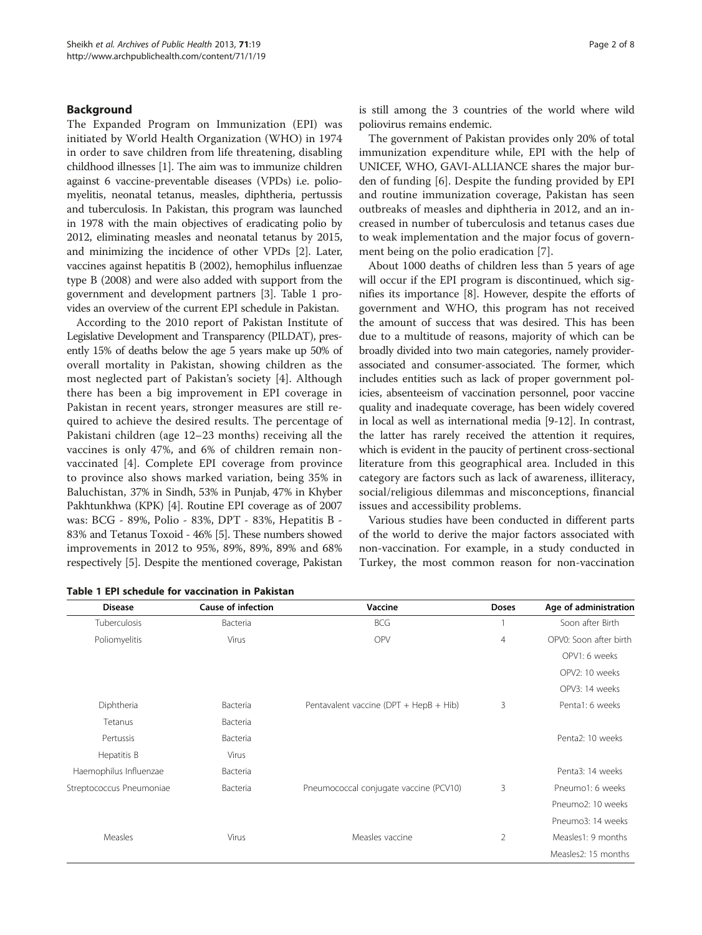# <span id="page-1-0"></span>Background

The Expanded Program on Immunization (EPI) was initiated by World Health Organization (WHO) in 1974 in order to save children from life threatening, disabling childhood illnesses [[1](#page-7-0)]. The aim was to immunize children against 6 vaccine-preventable diseases (VPDs) i.e. poliomyelitis, neonatal tetanus, measles, diphtheria, pertussis and tuberculosis. In Pakistan, this program was launched in 1978 with the main objectives of eradicating polio by 2012, eliminating measles and neonatal tetanus by 2015, and minimizing the incidence of other VPDs [[2\]](#page-7-0). Later, vaccines against hepatitis B (2002), hemophilus influenzae type B (2008) and were also added with support from the government and development partners [\[3](#page-7-0)]. Table 1 provides an overview of the current EPI schedule in Pakistan.

According to the 2010 report of Pakistan Institute of Legislative Development and Transparency (PILDAT), presently 15% of deaths below the age 5 years make up 50% of overall mortality in Pakistan, showing children as the most neglected part of Pakistan's society [[4](#page-7-0)]. Although there has been a big improvement in EPI coverage in Pakistan in recent years, stronger measures are still required to achieve the desired results. The percentage of Pakistani children (age 12–23 months) receiving all the vaccines is only 47%, and 6% of children remain nonvaccinated [\[4](#page-7-0)]. Complete EPI coverage from province to province also shows marked variation, being 35% in Baluchistan, 37% in Sindh, 53% in Punjab, 47% in Khyber Pakhtunkhwa (KPK) [\[4](#page-7-0)]. Routine EPI coverage as of 2007 was: BCG - 89%, Polio - 83%, DPT - 83%, Hepatitis B - 83% and Tetanus Toxoid - 46% [[5](#page-7-0)]. These numbers showed improvements in 2012 to 95%, 89%, 89%, 89% and 68% respectively [\[5](#page-7-0)]. Despite the mentioned coverage, Pakistan

Table 1 EPI schedule for vaccination in Pakistan

is still among the 3 countries of the world where wild poliovirus remains endemic.

The government of Pakistan provides only 20% of total immunization expenditure while, EPI with the help of UNICEF, WHO, GAVI-ALLIANCE shares the major burden of funding [\[6](#page-7-0)]. Despite the funding provided by EPI and routine immunization coverage, Pakistan has seen outbreaks of measles and diphtheria in 2012, and an increased in number of tuberculosis and tetanus cases due to weak implementation and the major focus of government being on the polio eradication [[7](#page-7-0)].

About 1000 deaths of children less than 5 years of age will occur if the EPI program is discontinued, which signifies its importance [[8](#page-7-0)]. However, despite the efforts of government and WHO, this program has not received the amount of success that was desired. This has been due to a multitude of reasons, majority of which can be broadly divided into two main categories, namely providerassociated and consumer-associated. The former, which includes entities such as lack of proper government policies, absenteeism of vaccination personnel, poor vaccine quality and inadequate coverage, has been widely covered in local as well as international media [\[9](#page-7-0)-[12](#page-7-0)]. In contrast, the latter has rarely received the attention it requires, which is evident in the paucity of pertinent cross-sectional literature from this geographical area. Included in this category are factors such as lack of awareness, illiteracy, social/religious dilemmas and misconceptions, financial issues and accessibility problems.

Various studies have been conducted in different parts of the world to derive the major factors associated with non-vaccination. For example, in a study conducted in Turkey, the most common reason for non-vaccination

| <b>Disease</b>           | Cause of infection | Vaccine                                | <b>Doses</b>   | Age of administration  |
|--------------------------|--------------------|----------------------------------------|----------------|------------------------|
| Tuberculosis             | Bacteria           | <b>BCG</b>                             |                | Soon after Birth       |
| Poliomyelitis            | Virus              | OPV                                    | $\overline{4}$ | OPV0: Soon after birth |
|                          |                    |                                        |                | OPV1: 6 weeks          |
|                          |                    |                                        |                | OPV2: 10 weeks         |
|                          |                    |                                        |                | OPV3: 14 weeks         |
| Diphtheria               | Bacteria           | Pentavalent vaccine (DPT + HepB + Hib) | 3              | Penta1: 6 weeks        |
| Tetanus                  | Bacteria           |                                        |                |                        |
| Pertussis                | Bacteria           |                                        |                | Penta2: 10 weeks       |
| Hepatitis B              | Virus              |                                        |                |                        |
| Haemophilus Influenzae   | Bacteria           |                                        |                | Penta3: 14 weeks       |
| Streptococcus Pneumoniae | Bacteria           | Pneumococcal conjugate vaccine (PCV10) | 3              | Pneumo1: 6 weeks       |
|                          |                    |                                        |                | Pneumo2: 10 weeks      |
|                          |                    |                                        |                | Pneumo3: 14 weeks      |
| Measles                  | Virus              | Measles vaccine                        | $\overline{2}$ | Measles1: 9 months     |
|                          |                    |                                        |                | Measles2: 15 months    |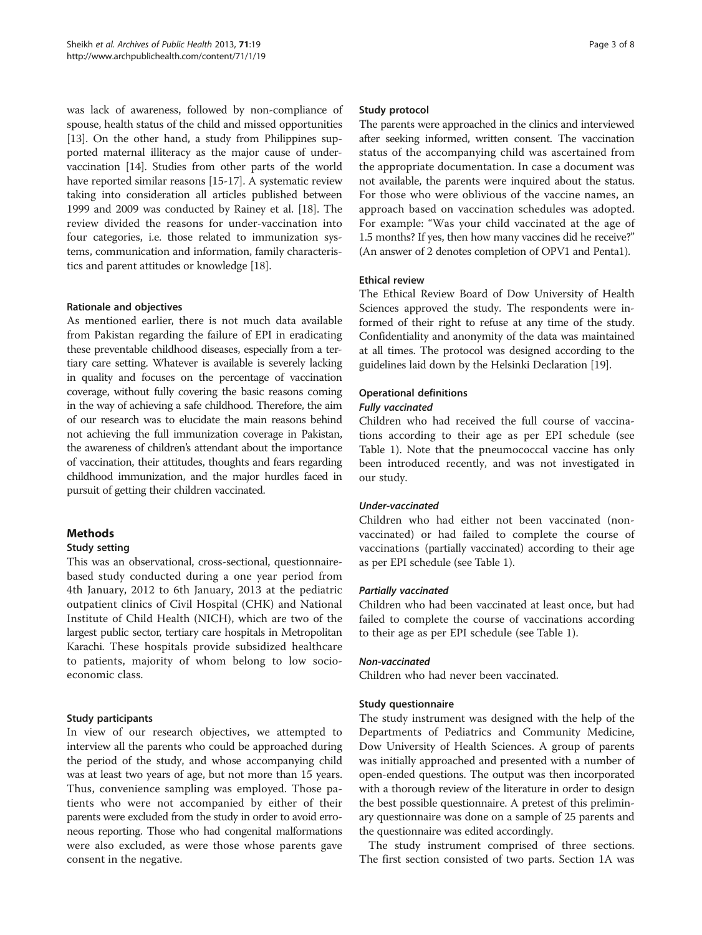was lack of awareness, followed by non-compliance of spouse, health status of the child and missed opportunities [[13](#page-7-0)]. On the other hand, a study from Philippines supported maternal illiteracy as the major cause of undervaccination [[14](#page-7-0)]. Studies from other parts of the world have reported similar reasons [\[15-17\]](#page-7-0). A systematic review taking into consideration all articles published between 1999 and 2009 was conducted by Rainey et al. [\[18\]](#page-7-0). The review divided the reasons for under-vaccination into four categories, i.e. those related to immunization systems, communication and information, family characteristics and parent attitudes or knowledge [\[18](#page-7-0)].

#### Rationale and objectives

As mentioned earlier, there is not much data available from Pakistan regarding the failure of EPI in eradicating these preventable childhood diseases, especially from a tertiary care setting. Whatever is available is severely lacking in quality and focuses on the percentage of vaccination coverage, without fully covering the basic reasons coming in the way of achieving a safe childhood. Therefore, the aim of our research was to elucidate the main reasons behind not achieving the full immunization coverage in Pakistan, the awareness of children's attendant about the importance of vaccination, their attitudes, thoughts and fears regarding childhood immunization, and the major hurdles faced in pursuit of getting their children vaccinated.

#### Methods

#### Study setting

This was an observational, cross-sectional, questionnairebased study conducted during a one year period from 4th January, 2012 to 6th January, 2013 at the pediatric outpatient clinics of Civil Hospital (CHK) and National Institute of Child Health (NICH), which are two of the largest public sector, tertiary care hospitals in Metropolitan Karachi. These hospitals provide subsidized healthcare to patients, majority of whom belong to low socioeconomic class.

#### Study participants

In view of our research objectives, we attempted to interview all the parents who could be approached during the period of the study, and whose accompanying child was at least two years of age, but not more than 15 years. Thus, convenience sampling was employed. Those patients who were not accompanied by either of their parents were excluded from the study in order to avoid erroneous reporting. Those who had congenital malformations were also excluded, as were those whose parents gave consent in the negative.

#### Study protocol

The parents were approached in the clinics and interviewed after seeking informed, written consent. The vaccination status of the accompanying child was ascertained from the appropriate documentation. In case a document was not available, the parents were inquired about the status. For those who were oblivious of the vaccine names, an approach based on vaccination schedules was adopted. For example: "Was your child vaccinated at the age of 1.5 months? If yes, then how many vaccines did he receive?" (An answer of 2 denotes completion of OPV1 and Penta1).

#### Ethical review

The Ethical Review Board of Dow University of Health Sciences approved the study. The respondents were informed of their right to refuse at any time of the study. Confidentiality and anonymity of the data was maintained at all times. The protocol was designed according to the guidelines laid down by the Helsinki Declaration [\[19\]](#page-7-0).

#### Operational definitions

#### Fully vaccinated

Children who had received the full course of vaccinations according to their age as per EPI schedule (see Table [1\)](#page-1-0). Note that the pneumococcal vaccine has only been introduced recently, and was not investigated in our study.

#### Under-vaccinated

Children who had either not been vaccinated (nonvaccinated) or had failed to complete the course of vaccinations (partially vaccinated) according to their age as per EPI schedule (see Table [1\)](#page-1-0).

#### Partially vaccinated

Children who had been vaccinated at least once, but had failed to complete the course of vaccinations according to their age as per EPI schedule (see Table [1\)](#page-1-0).

# Non-vaccinated

Children who had never been vaccinated.

#### Study questionnaire

The study instrument was designed with the help of the Departments of Pediatrics and Community Medicine, Dow University of Health Sciences. A group of parents was initially approached and presented with a number of open-ended questions. The output was then incorporated with a thorough review of the literature in order to design the best possible questionnaire. A pretest of this preliminary questionnaire was done on a sample of 25 parents and the questionnaire was edited accordingly.

The study instrument comprised of three sections. The first section consisted of two parts. Section 1A was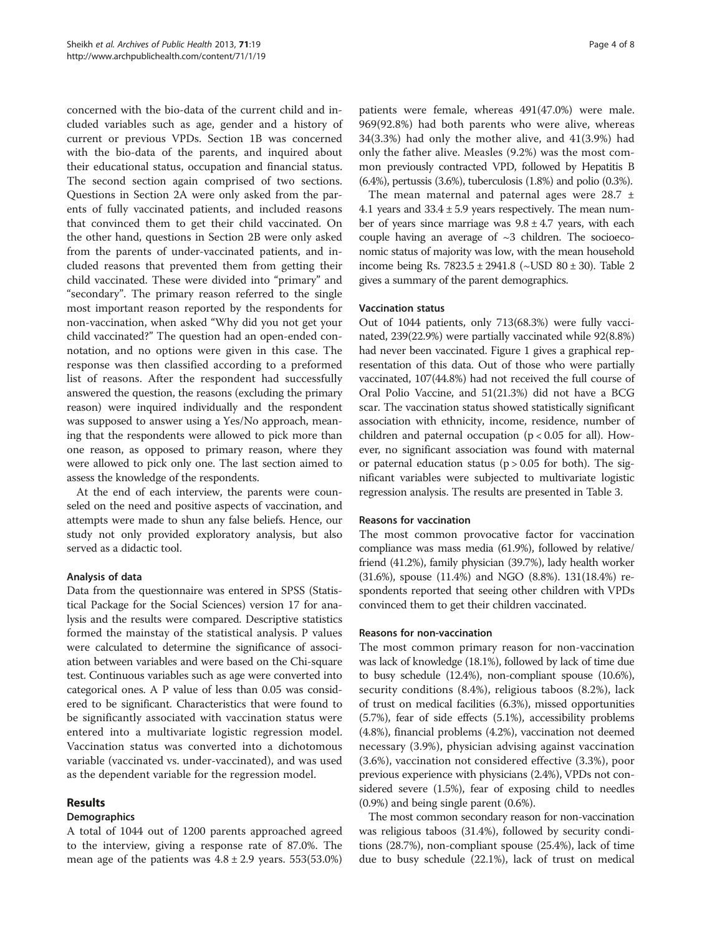concerned with the bio-data of the current child and included variables such as age, gender and a history of current or previous VPDs. Section 1B was concerned with the bio-data of the parents, and inquired about their educational status, occupation and financial status. The second section again comprised of two sections. Questions in Section 2A were only asked from the parents of fully vaccinated patients, and included reasons that convinced them to get their child vaccinated. On the other hand, questions in Section 2B were only asked from the parents of under-vaccinated patients, and included reasons that prevented them from getting their child vaccinated. These were divided into "primary" and "secondary". The primary reason referred to the single most important reason reported by the respondents for non-vaccination, when asked "Why did you not get your child vaccinated?" The question had an open-ended connotation, and no options were given in this case. The response was then classified according to a preformed list of reasons. After the respondent had successfully answered the question, the reasons (excluding the primary reason) were inquired individually and the respondent was supposed to answer using a Yes/No approach, meaning that the respondents were allowed to pick more than one reason, as opposed to primary reason, where they were allowed to pick only one. The last section aimed to assess the knowledge of the respondents.

At the end of each interview, the parents were counseled on the need and positive aspects of vaccination, and attempts were made to shun any false beliefs. Hence, our study not only provided exploratory analysis, but also served as a didactic tool.

# Analysis of data

Data from the questionnaire was entered in SPSS (Statistical Package for the Social Sciences) version 17 for analysis and the results were compared. Descriptive statistics formed the mainstay of the statistical analysis. P values were calculated to determine the significance of association between variables and were based on the Chi-square test. Continuous variables such as age were converted into categorical ones. A P value of less than 0.05 was considered to be significant. Characteristics that were found to be significantly associated with vaccination status were entered into a multivariate logistic regression model. Vaccination status was converted into a dichotomous variable (vaccinated vs. under-vaccinated), and was used as the dependent variable for the regression model.

# Results

#### **Demographics**

A total of 1044 out of 1200 parents approached agreed to the interview, giving a response rate of 87.0%. The mean age of the patients was  $4.8 \pm 2.9$  years. 553(53.0%)

patients were female, whereas 491(47.0%) were male. 969(92.8%) had both parents who were alive, whereas 34(3.3%) had only the mother alive, and 41(3.9%) had only the father alive. Measles (9.2%) was the most common previously contracted VPD, followed by Hepatitis B (6.4%), pertussis (3.6%), tuberculosis (1.8%) and polio (0.3%).

The mean maternal and paternal ages were 28.7 ± 4.1 years and  $33.4 \pm 5.9$  years respectively. The mean number of years since marriage was  $9.8 \pm 4.7$  years, with each couple having an average of ~3 children. The socioeconomic status of majority was low, with the mean household income being Rs. 7823.5 ± 2941.8 (~USD 80 ± 30). Table [2](#page-4-0) gives a summary of the parent demographics.

#### Vaccination status

Out of 1044 patients, only 713(68.3%) were fully vaccinated, 239(22.9%) were partially vaccinated while 92(8.8%) had never been vaccinated. Figure [1](#page-5-0) gives a graphical representation of this data. Out of those who were partially vaccinated, 107(44.8%) had not received the full course of Oral Polio Vaccine, and 51(21.3%) did not have a BCG scar. The vaccination status showed statistically significant association with ethnicity, income, residence, number of children and paternal occupation ( $p < 0.05$  for all). However, no significant association was found with maternal or paternal education status ( $p > 0.05$  for both). The significant variables were subjected to multivariate logistic regression analysis. The results are presented in Table [3.](#page-5-0)

#### Reasons for vaccination

The most common provocative factor for vaccination compliance was mass media (61.9%), followed by relative/ friend (41.2%), family physician (39.7%), lady health worker (31.6%), spouse (11.4%) and NGO (8.8%). 131(18.4%) respondents reported that seeing other children with VPDs convinced them to get their children vaccinated.

#### Reasons for non-vaccination

The most common primary reason for non-vaccination was lack of knowledge (18.1%), followed by lack of time due to busy schedule (12.4%), non-compliant spouse (10.6%), security conditions (8.4%), religious taboos (8.2%), lack of trust on medical facilities (6.3%), missed opportunities (5.7%), fear of side effects (5.1%), accessibility problems (4.8%), financial problems (4.2%), vaccination not deemed necessary (3.9%), physician advising against vaccination (3.6%), vaccination not considered effective (3.3%), poor previous experience with physicians (2.4%), VPDs not considered severe (1.5%), fear of exposing child to needles (0.9%) and being single parent (0.6%).

The most common secondary reason for non-vaccination was religious taboos (31.4%), followed by security conditions (28.7%), non-compliant spouse (25.4%), lack of time due to busy schedule (22.1%), lack of trust on medical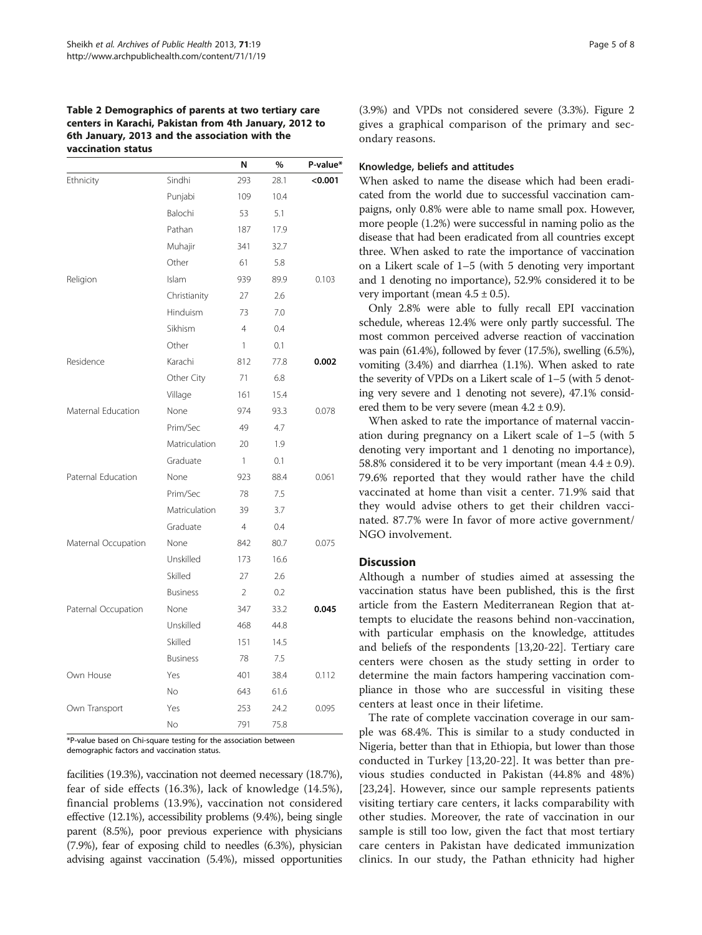# <span id="page-4-0"></span>Table 2 Demographics of parents at two tertiary care centers in Karachi, Pakistan from 4th January, 2012 to 6th January, 2013 and the association with the vaccination status

|                     |                 | N              | %    | P-value* |
|---------------------|-----------------|----------------|------|----------|
| Ethnicity           | Sindhi          | 293            | 28.1 | < 0.001  |
|                     | Punjabi         | 109            | 10.4 |          |
|                     | Balochi         | 53             | 5.1  |          |
|                     | Pathan          | 187            | 17.9 |          |
|                     | Muhajir         | 341            | 32.7 |          |
|                     | Other           | 61             | 5.8  |          |
| Religion            | Islam           | 939            | 89.9 | 0.103    |
|                     | Christianity    | 27             | 2.6  |          |
|                     | Hinduism        | 73             | 7.0  |          |
|                     | Sikhism         | $\overline{4}$ | 0.4  |          |
|                     | Other           | $\mathbf{1}$   | 0.1  |          |
| Residence           | Karachi         | 812            | 77.8 | 0.002    |
|                     | Other City      | 71             | 6.8  |          |
|                     | Village         | 161            | 15.4 |          |
| Maternal Education  | None            | 974            | 93.3 | 0.078    |
|                     | Prim/Sec        | 49             | 4.7  |          |
|                     | Matriculation   | 20             | 1.9  |          |
|                     | Graduate        | $\mathbf{1}$   | 0.1  |          |
| Paternal Education  | None            | 923            | 88.4 | 0.061    |
|                     | Prim/Sec        | 78             | 7.5  |          |
|                     | Matriculation   | 39             | 3.7  |          |
|                     | Graduate        | $\overline{4}$ | 0.4  |          |
| Maternal Occupation | None            | 842            | 80.7 | 0.075    |
|                     | Unskilled       | 173            | 16.6 |          |
|                     | Skilled         | 27             | 2.6  |          |
|                     | <b>Business</b> | $\overline{2}$ | 0.2  |          |
| Paternal Occupation | None            | 347            | 33.2 | 0.045    |
|                     | Unskilled       | 468            | 44.8 |          |
|                     | Skilled         | 151            | 14.5 |          |
|                     | <b>Business</b> | 78             | 7.5  |          |
| Own House           | Yes             | 401            | 38.4 | 0.112    |
|                     | No              | 643            | 61.6 |          |
| Own Transport       | Yes             | 253            | 24.2 | 0.095    |
|                     | No              | 791            | 75.8 |          |

\*P-value based on Chi-square testing for the association between demographic factors and vaccination status.

facilities (19.3%), vaccination not deemed necessary (18.7%), fear of side effects (16.3%), lack of knowledge (14.5%), financial problems (13.9%), vaccination not considered effective (12.1%), accessibility problems (9.4%), being single parent (8.5%), poor previous experience with physicians (7.9%), fear of exposing child to needles (6.3%), physician advising against vaccination (5.4%), missed opportunities (3.9%) and VPDs not considered severe (3.3%). Figure [2](#page-6-0) gives a graphical comparison of the primary and secondary reasons.

# Knowledge, beliefs and attitudes

When asked to name the disease which had been eradicated from the world due to successful vaccination campaigns, only 0.8% were able to name small pox. However, more people (1.2%) were successful in naming polio as the disease that had been eradicated from all countries except three. When asked to rate the importance of vaccination on a Likert scale of 1–5 (with 5 denoting very important and 1 denoting no importance), 52.9% considered it to be very important (mean  $4.5 \pm 0.5$ ).

Only 2.8% were able to fully recall EPI vaccination schedule, whereas 12.4% were only partly successful. The most common perceived adverse reaction of vaccination was pain (61.4%), followed by fever (17.5%), swelling (6.5%), vomiting (3.4%) and diarrhea (1.1%). When asked to rate the severity of VPDs on a Likert scale of 1–5 (with 5 denoting very severe and 1 denoting not severe), 47.1% considered them to be very severe (mean  $4.2 \pm 0.9$ ).

When asked to rate the importance of maternal vaccination during pregnancy on a Likert scale of 1–5 (with 5 denoting very important and 1 denoting no importance), 58.8% considered it to be very important (mean  $4.4 \pm 0.9$ ). 79.6% reported that they would rather have the child vaccinated at home than visit a center. 71.9% said that they would advise others to get their children vaccinated. 87.7% were In favor of more active government/ NGO involvement.

# Discussion

Although a number of studies aimed at assessing the vaccination status have been published, this is the first article from the Eastern Mediterranean Region that attempts to elucidate the reasons behind non-vaccination, with particular emphasis on the knowledge, attitudes and beliefs of the respondents [\[13,20-22](#page-7-0)]. Tertiary care centers were chosen as the study setting in order to determine the main factors hampering vaccination compliance in those who are successful in visiting these centers at least once in their lifetime.

The rate of complete vaccination coverage in our sample was 68.4%. This is similar to a study conducted in Nigeria, better than that in Ethiopia, but lower than those conducted in Turkey [[13,20](#page-7-0)-[22\]](#page-7-0). It was better than previous studies conducted in Pakistan (44.8% and 48%) [[23,24](#page-7-0)]. However, since our sample represents patients visiting tertiary care centers, it lacks comparability with other studies. Moreover, the rate of vaccination in our sample is still too low, given the fact that most tertiary care centers in Pakistan have dedicated immunization clinics. In our study, the Pathan ethnicity had higher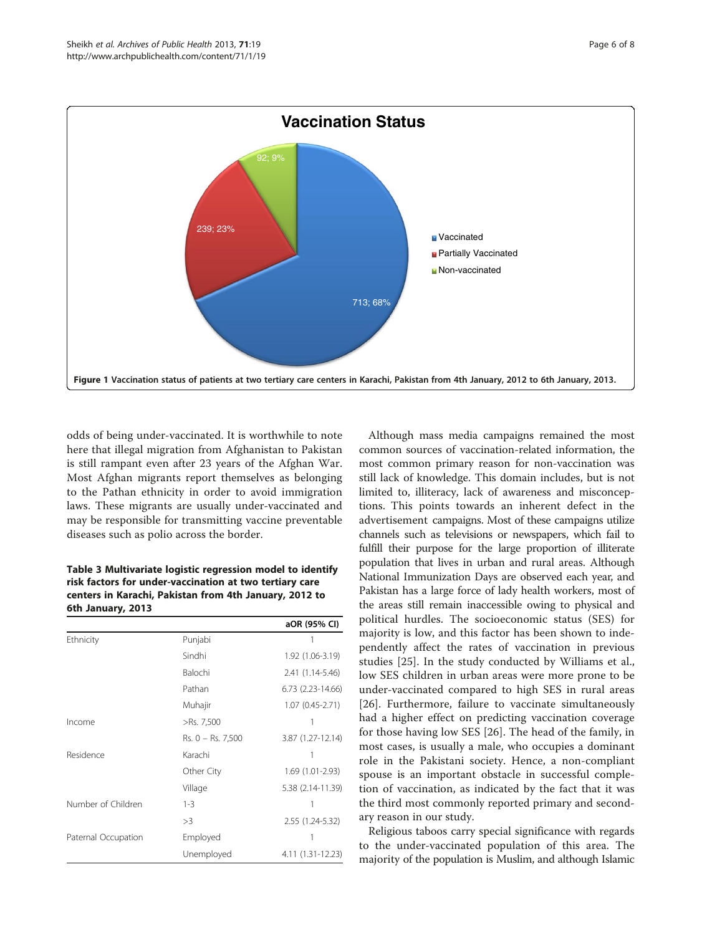<span id="page-5-0"></span>

odds of being under-vaccinated. It is worthwhile to note here that illegal migration from Afghanistan to Pakistan is still rampant even after 23 years of the Afghan War. Most Afghan migrants report themselves as belonging to the Pathan ethnicity in order to avoid immigration laws. These migrants are usually under-vaccinated and may be responsible for transmitting vaccine preventable diseases such as polio across the border.

# Table 3 Multivariate logistic regression model to identify risk factors for under-vaccination at two tertiary care centers in Karachi, Pakistan from 4th January, 2012 to 6th January, 2013

|                     |                   | aOR (95% CI)          |
|---------------------|-------------------|-----------------------|
| Ethnicity           | Punjabi           | 1                     |
|                     | Sindhi            | 1.92 (1.06-3.19)      |
|                     | Balochi           | 2.41 (1.14-5.46)      |
|                     | Pathan            | $6.73$ $(2.23-14.66)$ |
|                     | Muhajir           | 1.07 (0.45-2.71)      |
| Income              | $>$ Rs. 7,500     | 1                     |
|                     | Rs. 0 - Rs. 7,500 | 3.87 (1.27-12.14)     |
| Residence           | Karachi           | 1                     |
|                     | Other City        | 1.69 (1.01-2.93)      |
|                     | Village           | 5.38 (2.14-11.39)     |
| Number of Children  | $1 - 3$           |                       |
|                     | >3                | 2.55 (1.24-5.32)      |
| Paternal Occupation | Employed          |                       |
|                     | Unemployed        | 4.11 (1.31-12.23)     |

Although mass media campaigns remained the most common sources of vaccination-related information, the most common primary reason for non-vaccination was still lack of knowledge. This domain includes, but is not limited to, illiteracy, lack of awareness and misconceptions. This points towards an inherent defect in the advertisement campaigns. Most of these campaigns utilize channels such as televisions or newspapers, which fail to fulfill their purpose for the large proportion of illiterate population that lives in urban and rural areas. Although National Immunization Days are observed each year, and Pakistan has a large force of lady health workers, most of the areas still remain inaccessible owing to physical and political hurdles. The socioeconomic status (SES) for majority is low, and this factor has been shown to independently affect the rates of vaccination in previous studies [\[25](#page-7-0)]. In the study conducted by Williams et al., low SES children in urban areas were more prone to be under-vaccinated compared to high SES in rural areas [[26\]](#page-7-0). Furthermore, failure to vaccinate simultaneously had a higher effect on predicting vaccination coverage for those having low SES [[26\]](#page-7-0). The head of the family, in most cases, is usually a male, who occupies a dominant role in the Pakistani society. Hence, a non-compliant spouse is an important obstacle in successful completion of vaccination, as indicated by the fact that it was the third most commonly reported primary and secondary reason in our study.

Religious taboos carry special significance with regards to the under-vaccinated population of this area. The majority of the population is Muslim, and although Islamic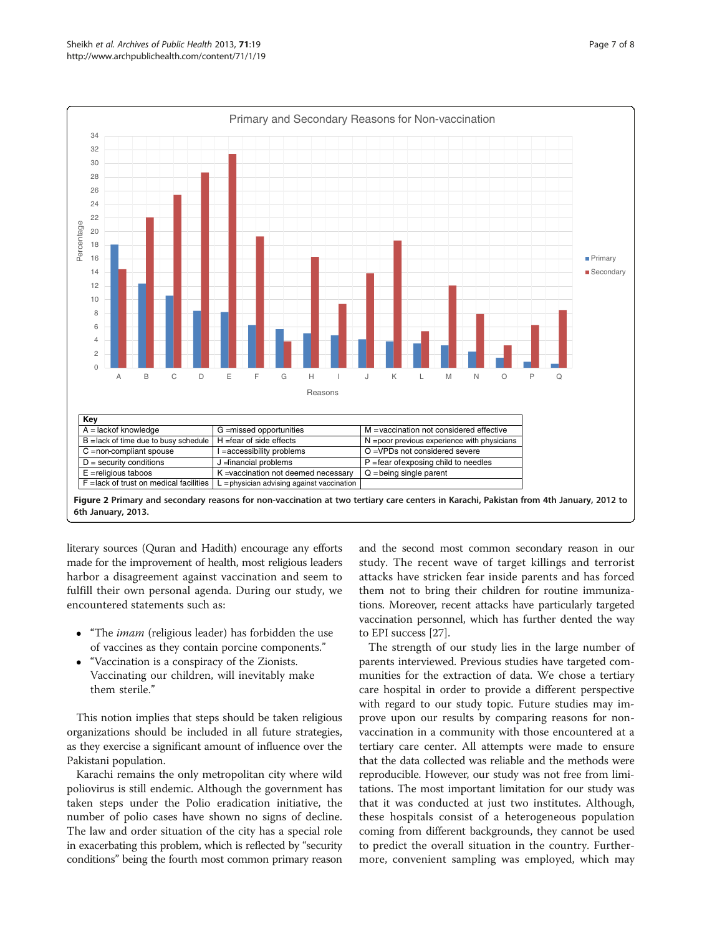<span id="page-6-0"></span>

literary sources (Quran and Hadith) encourage any efforts made for the improvement of health, most religious leaders harbor a disagreement against vaccination and seem to fulfill their own personal agenda. During our study, we encountered statements such as:

- "The imam (religious leader) has forbidden the use of vaccines as they contain porcine components."
- "Vaccination is a conspiracy of the Zionists. Vaccinating our children, will inevitably make them sterile."

This notion implies that steps should be taken religious organizations should be included in all future strategies, as they exercise a significant amount of influence over the Pakistani population.

Karachi remains the only metropolitan city where wild poliovirus is still endemic. Although the government has taken steps under the Polio eradication initiative, the number of polio cases have shown no signs of decline. The law and order situation of the city has a special role in exacerbating this problem, which is reflected by "security conditions" being the fourth most common primary reason and the second most common secondary reason in our study. The recent wave of target killings and terrorist attacks have stricken fear inside parents and has forced them not to bring their children for routine immunizations. Moreover, recent attacks have particularly targeted vaccination personnel, which has further dented the way to EPI success [\[27\]](#page-7-0).

The strength of our study lies in the large number of parents interviewed. Previous studies have targeted communities for the extraction of data. We chose a tertiary care hospital in order to provide a different perspective with regard to our study topic. Future studies may improve upon our results by comparing reasons for nonvaccination in a community with those encountered at a tertiary care center. All attempts were made to ensure that the data collected was reliable and the methods were reproducible. However, our study was not free from limitations. The most important limitation for our study was that it was conducted at just two institutes. Although, these hospitals consist of a heterogeneous population coming from different backgrounds, they cannot be used to predict the overall situation in the country. Furthermore, convenient sampling was employed, which may